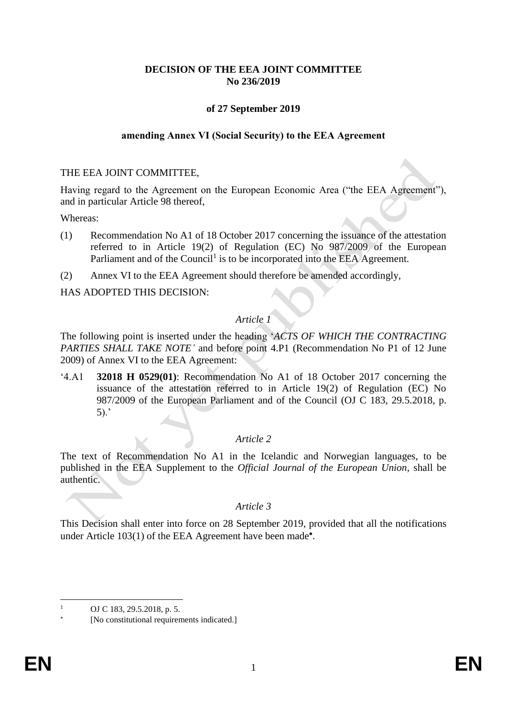# **DECISION OF THE EEA JOINT COMMITTEE No 236/2019**

# **of 27 September 2019**

### **amending Annex VI (Social Security) to the EEA Agreement**

#### THE EEA JOINT COMMITTEE,

Having regard to the Agreement on the European Economic Area ("the EEA Agreement"), and in particular Article 98 thereof,

Whereas:

- (1) Recommendation No A1 of 18 October 2017 concerning the issuance of the attestation referred to in Article 19(2) of Regulation (EC) No 987/2009 of the European Parliament and of the Council<sup>1</sup> is to be incorporated into the EEA Agreement.
- (2) Annex VI to the EEA Agreement should therefore be amended accordingly,

HAS ADOPTED THIS DECISION:

# *Article 1*

The following point is inserted under the heading '*ACTS OF WHICH THE CONTRACTING PARTIES SHALL TAKE NOTE'* and before point 4.P1 (Recommendation No P1 of 12 June 2009) of Annex VI to the EEA Agreement:

'4.A1 **32018 H 0529(01)**: Recommendation No A1 of 18 October 2017 concerning the issuance of the attestation referred to in Article 19(2) of Regulation (EC) No 987/2009 of the European Parliament and of the Council (OJ C 183, 29.5.2018, p. 5).'

## *Article 2*

The text of Recommendation No A1 in the Icelandic and Norwegian languages, to be published in the EEA Supplement to the *Official Journal of the European Union*, shall be authentic.

## *Article 3*

This Decision shall enter into force on 28 September 2019, provided that all the notifications under Article 103(1) of the EEA Agreement have been made<sup>\*</sup>.

 $\overline{a}$ 

OJ C 183, 29.5.2018, p. 5.

<sup>×</sup> [No constitutional requirements indicated.]